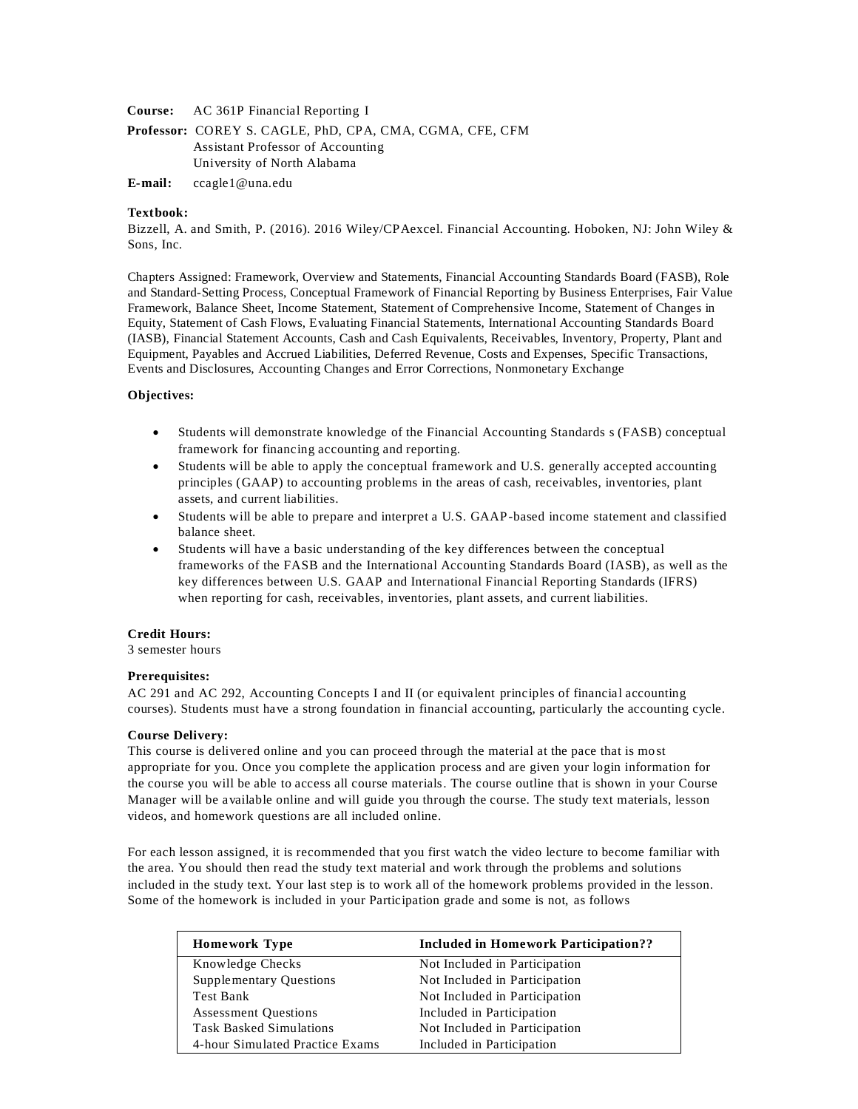**Course:** AC 361P Financial Reporting I

**Professor:** COREY S. CAGLE, PhD, CPA, CMA, CGMA, CFE, CFM Assistant Professor of Accounting University of North Alabama

**E-mail:** [ccagle1@una.edu](mailto:ccagle1@una.edu)

#### **Textbook:**

Bizzell, A. and Smith, P. (2016). 2016 Wiley/CPAexcel. Financial Accounting. Hoboken, NJ: John Wiley & Sons, Inc.

Chapters Assigned: Framework, Overview and Statements, Financial Accounting Standards Board (FASB), Role and Standard-Setting Process, Conceptual Framework of Financial Reporting by Business Enterprises, Fair Value Framework, Balance Sheet, Income Statement, Statement of Comprehensive Income, Statement of Changes in Equity, Statement of Cash Flows, Evaluating Financial Statements, International Accounting Standards Board (IASB), Financial Statement Accounts, Cash and Cash Equivalents, Receivables, Inventory, Property, Plant and Equipment, Payables and Accrued Liabilities, Deferred Revenue, Costs and Expenses, Specific Transactions, Events and Disclosures, Accounting Changes and Error Corrections, Nonmonetary Exchange

#### **Objectives:**

- Students will demonstrate knowledge of the Financial Accounting Standards s (FASB) conceptual framework for financing accounting and reporting.
- Students will be able to apply the conceptual framework and U.S. generally accepted accounting principles (GAAP) to accounting problems in the areas of cash, receivables, inventories, plant assets, and current liabilities.
- Students will be able to prepare and interpret a U.S. GAAP-based income statement and classified balance sheet.
- Students will have a basic understanding of the key differences between the conceptual frameworks of the FASB and the International Accounting Standards Board (IASB), as well as the key differences between U.S. GAAP and International Financial Reporting Standards (IFRS) when reporting for cash, receivables, inventories, plant assets, and current liabilities.

## **Credit Hours:**

3 semester hours

#### **Prerequisites:**

AC 291 and AC 292, Accounting Concepts I and II (or equivalent principles of financial accounting courses). Students must have a strong foundation in financial accounting, particularly the accounting cycle.

#### **Course Delivery:**

This course is delivered online and you can proceed through the material at the pace that is most appropriate for you. Once you complete the application process and are given your login information for the course you will be able to access all course materials. The course outline that is shown in your Course Manager will be available online and will guide you through the course. The study text materials, lesson videos, and homework questions are all included online.

For each lesson assigned, it is recommended that you first watch the video lecture to become familiar with the area. You should then read the study text material and work through the problems and solutions included in the study text. Your last step is to work all of the homework problems provided in the lesson. Some of the homework is included in your Participation grade and some is not, as follows

| <b>Homework Type</b>            | <b>Included in Homework Participation??</b> |
|---------------------------------|---------------------------------------------|
| Knowledge Checks                | Not Included in Participation               |
| <b>Supplementary Questions</b>  | Not Included in Participation               |
| Test Bank                       | Not Included in Participation               |
| <b>Assessment Questions</b>     | Included in Participation                   |
| <b>Task Basked Simulations</b>  | Not Included in Participation               |
| 4-hour Simulated Practice Exams | Included in Participation                   |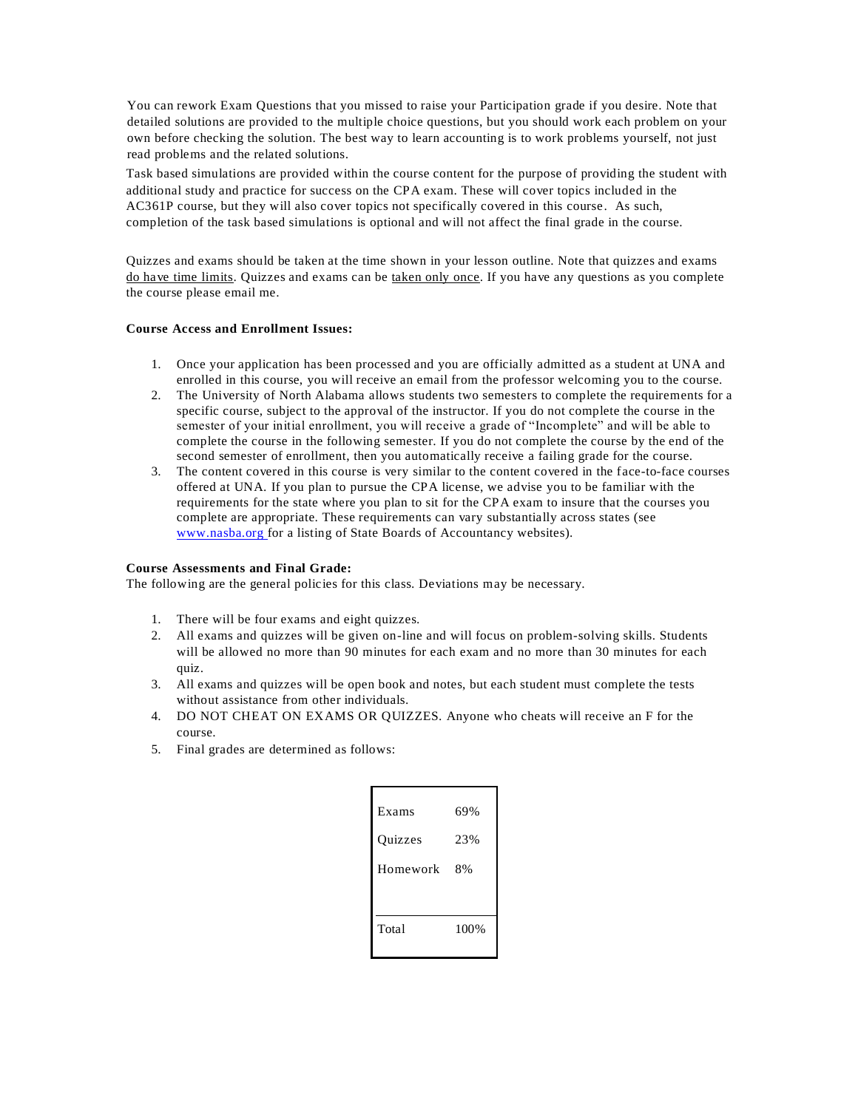You can rework Exam Questions that you missed to raise your Participation grade if you desire. Note that detailed solutions are provided to the multiple choice questions, but you should work each problem on your own before checking the solution. The best way to learn accounting is to work problems yourself, not just read problems and the related solutions.

Task based simulations are provided within the course content for the purpose of providing the student with additional study and practice for success on the CPA exam. These will cover topics included in the AC361P course, but they will also cover topics not specifically covered in this course. As such, completion of the task based simulations is optional and will not affect the final grade in the course.

Quizzes and exams should be taken at the time shown in your lesson outline. Note that quizzes and exams do have time limits. Quizzes and exams can be taken only once. If you have any questions as you complete the course please email me.

## **Course Access and Enrollment Issues:**

- 1. Once your application has been processed and you are officially admitted as a student at UNA and enrolled in this course, you will receive an email from the professor welcoming you to the course.
- 2. The University of North Alabama allows students two semesters to complete the requirements for a specific course, subject to the approval of the instructor. If you do not complete the course in the semester of your initial enrollment, you will receive a grade of "Incomplete" and will be able to complete the course in the following semester. If you do not complete the course by the end of the second semester of enrollment, then you automatically receive a failing grade for the course.
- 3. The content covered in this course is very similar to the content covered in the face-to-face courses offered at UNA. If you plan to pursue the CPA license, we advise you to be familiar with the requirements for the state where you plan to sit for the CPA exam to insure that the courses you complete are appropriate. These requirements can vary substantially across states (see [www.nasba.org f](http://www.nasba.org/)or a listing of State Boards of Accountancy websites).

## **Course Assessments and Final Grade:**

The following are the general policies for this class. Deviations may be necessary.

- 1. There will be four exams and eight quizzes.
- 2. All exams and quizzes will be given on-line and will focus on problem-solving skills. Students will be allowed no more than 90 minutes for each exam and no more than 30 minutes for each quiz.
- 3. All exams and quizzes will be open book and notes, but each student must complete the tests without assistance from other individuals.
- 4. DO NOT CHEAT ON EXAMS OR QUIZZES. Anyone who cheats will receive an F for the course.
- 5. Final grades are determined as follows:

| Exams    | 69%  |
|----------|------|
| Quizzes  | 23%  |
| Homework | 8%   |
|          |      |
| Total    | 100% |
|          |      |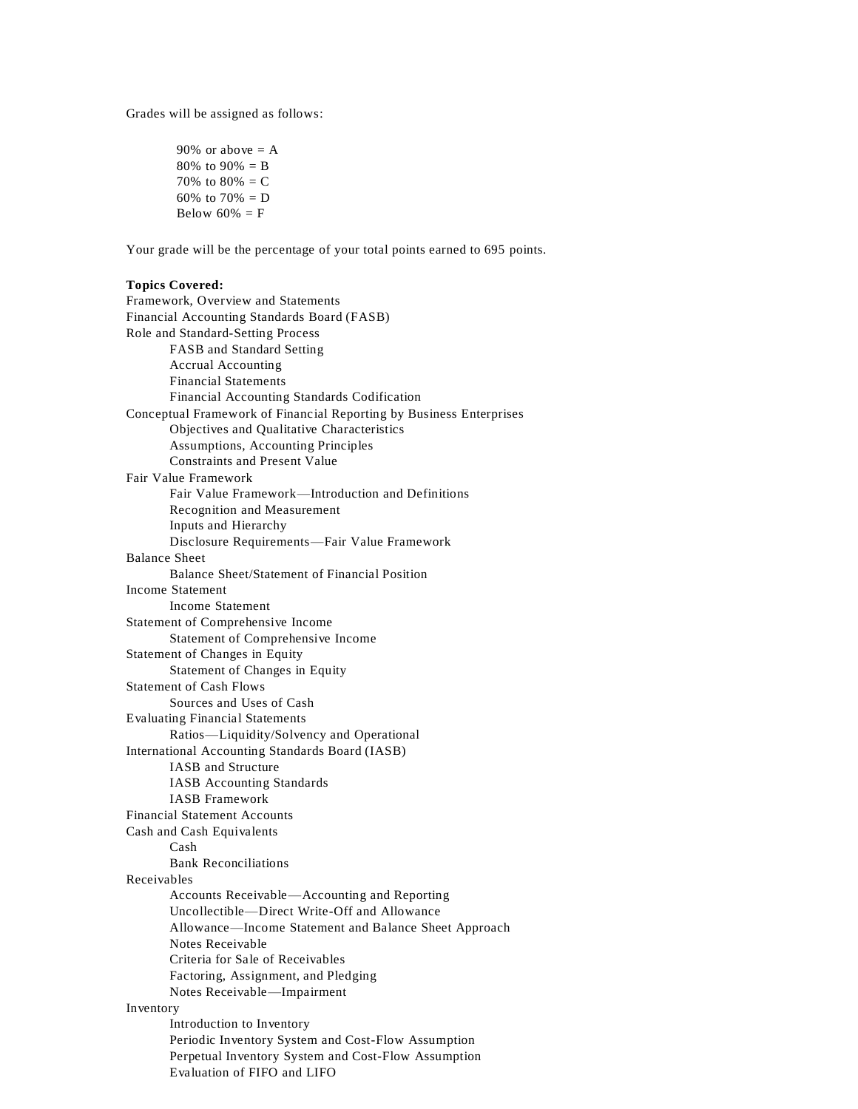Grades will be assigned as follows:

90% or above  $= A$ 80% to 90% =  $B$ 70% to  $80% = C$ 60% to 70% =  $D$ Below  $60\% = F$ 

Your grade will be the percentage of your total points earned to 695 points.

## **Topics Covered:**

```
Framework, Overview and Statements
Financial Accounting Standards Board (FASB)
Role and Standard-Setting Process
       FASB and Standard Setting
       Accrual Accounting
       Financial Statements
       Financial Accounting Standards Codification
Conceptual Framework of Financial Reporting by Business Enterprises
       Objectives and Qualitative Characteristics
       Assumptions, Accounting Principles
       Constraints and Present Value
Fair Value Framework
       Fair Value Framework—Introduction and Definitions
       Recognition and Measurement
       Inputs and Hierarchy
       Disclosure Requirements—Fair Value Framework
Balance Sheet
       Balance Sheet/Statement of Financial Position
Income Statement
       Income Statement
Statement of Comprehensive Income
       Statement of Comprehensive Income
Statement of Changes in Equity
       Statement of Changes in Equity
Statement of Cash Flows
       Sources and Uses of Cash
Evaluating Financial Statements
       Ratios—Liquidity/Solvency and Operational
International Accounting Standards Board (IASB)
       IASB and Structure
       IASB Accounting Standards
       IASB Framework
Financial Statement Accounts
Cash and Cash Equivalents
       Cash
       Bank Reconciliations
Receivables
       Accounts Receivable—Accounting and Reporting
       Uncollectible—Direct Write-Off and Allowance
       Allowance—Income Statement and Balance Sheet Approach
       Notes Receivable
       Criteria for Sale of Receivables
       Factoring, Assignment, and Pledging
       Notes Receivable—Impairment
Inventory
       Introduction to Inventory
       Periodic Inventory System and Cost-Flow Assumption
       Perpetual Inventory System and Cost-Flow Assumption
       Evaluation of FIFO and LIFO
```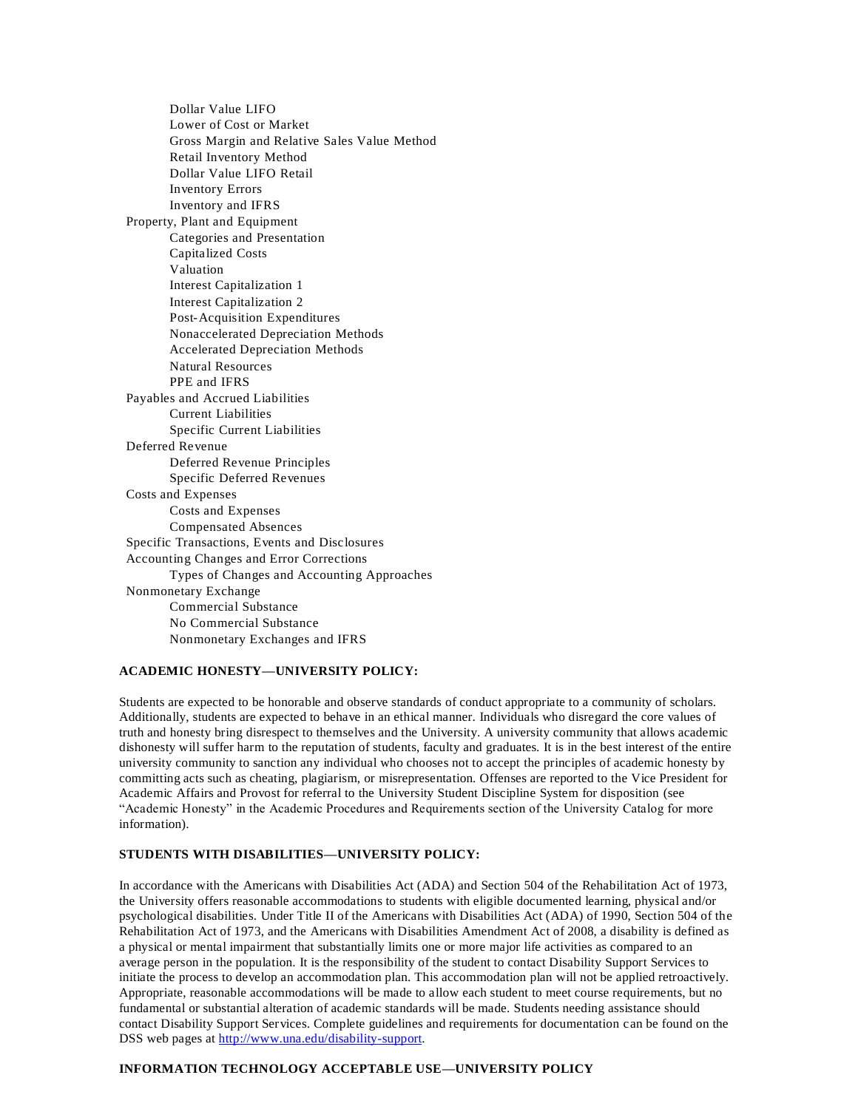Dollar Value LIFO Lower of Cost or Market Gross Margin and Relative Sales Value Method Retail Inventory Method Dollar Value LIFO Retail Inventory Errors Inventory and IFRS Property, Plant and Equipment Categories and Presentation Capitalized Costs Valuation Interest Capitalization 1 Interest Capitalization 2 Post-Acquisition Expenditures Nonaccelerated Depreciation Methods Accelerated Depreciation Methods Natural Resources PPE and IFRS Payables and Accrued Liabilities Current Liabilities Specific Current Liabilities Deferred Revenue Deferred Revenue Principles Specific Deferred Revenues Costs and Expenses Costs and Expenses Compensated Absences Specific Transactions, Events and Disclosures Accounting Changes and Error Corrections Types of Changes and Accounting Approaches Nonmonetary Exchange Commercial Substance No Commercial Substance Nonmonetary Exchanges and IFRS

## **ACADEMIC HONESTY—UNIVERSITY POLICY:**

Students are expected to be honorable and observe standards of conduct appropriate to a community of scholars. Additionally, students are expected to behave in an ethical manner. Individuals who disregard the core values of truth and honesty bring disrespect to themselves and the University. A university community that allows academic dishonesty will suffer harm to the reputation of students, faculty and graduates. It is in the best interest of the entire university community to sanction any individual who chooses not to accept the principles of academic honesty by committing acts such as cheating, plagiarism, or misrepresentation. Offenses are reported to the Vice President for Academic Affairs and Provost for referral to the University Student Discipline System for disposition (see "Academic Honesty" in the Academic Procedures and Requirements section of the University Catalog for more information).

# **STUDENTS WITH DISABILITIES—UNIVERSITY POLICY:**

In accordance with the Americans with Disabilities Act (ADA) and Section 504 of the Rehabilitation Act of 1973, the University offers reasonable accommodations to students with eligible documented learning, physical and/or psychological disabilities. Under Title II of the Americans with Disabilities Act (ADA) of 1990, Section 504 of the Rehabilitation Act of 1973, and the Americans with Disabilities Amendment Act of 2008, a disability is defined as a physical or mental impairment that substantially limits one or more major life activities as compared to an average person in the population. It is the responsibility of the student to contact Disability Support Services to initiate the process to develop an accommodation plan. This accommodation plan will not be applied retroactively. Appropriate, reasonable accommodations will be made to allow each student to meet course requirements, but no fundamental or substantial alteration of academic standards will be made. Students needing assistance should contact Disability Support Services. Complete guidelines and requirements for documentation can be found on the DSS web pages at [http://www.una.edu/disability-support.](http://www.una.edu/disability-support)

#### **INFORMATION TECHNOLOGY ACCEPTABLE USE—UNIVERSITY POLICY**